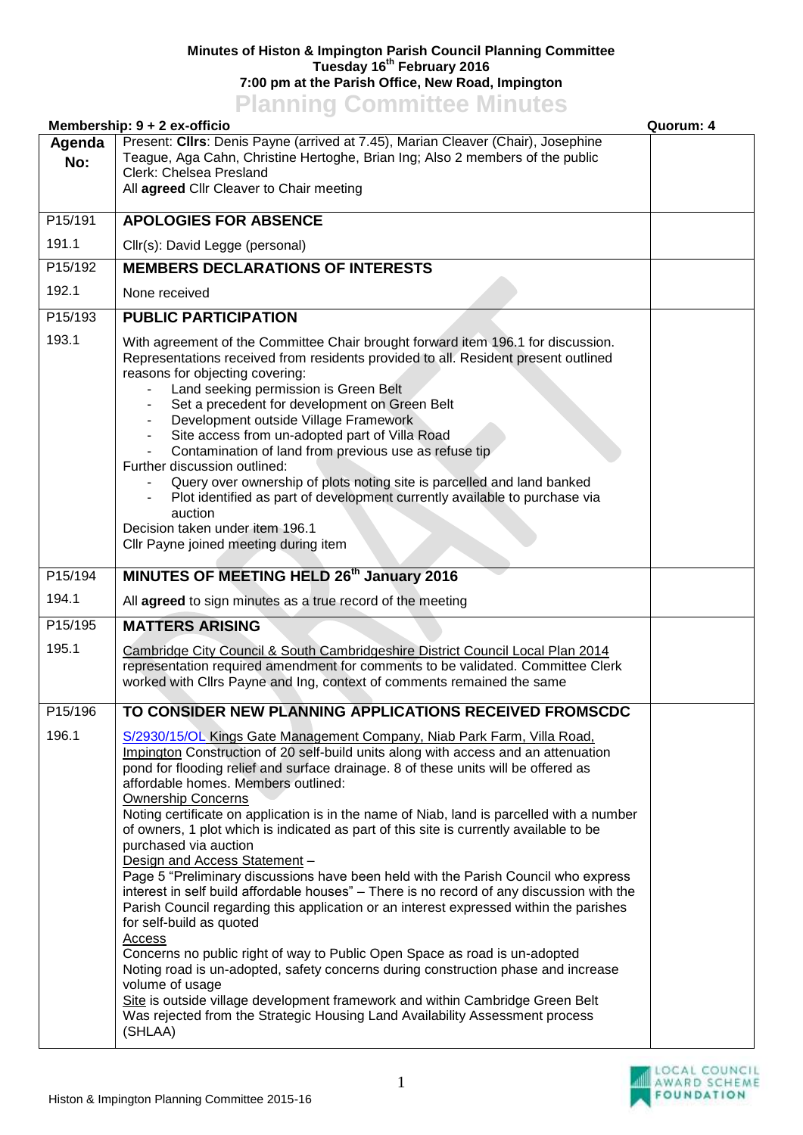## **Minutes of Histon & Impington Parish Council Planning Committee Tuesday 16th February 2016 7:00 pm at the Parish Office, New Road, Impington Planning Committee Minutes**

|               | <u>I KITTING UUTIILIISUU MIITUSU</u><br>Membership: $9 + 2$ ex-officio                                                                                                                                                                                                                                                                                                                                                                                                                                                                                                                                                                                                                                                                                                                                                                                                                                                                                                                                                                                                                                                                                                                                                                                               | Quorum: 4 |
|---------------|----------------------------------------------------------------------------------------------------------------------------------------------------------------------------------------------------------------------------------------------------------------------------------------------------------------------------------------------------------------------------------------------------------------------------------------------------------------------------------------------------------------------------------------------------------------------------------------------------------------------------------------------------------------------------------------------------------------------------------------------------------------------------------------------------------------------------------------------------------------------------------------------------------------------------------------------------------------------------------------------------------------------------------------------------------------------------------------------------------------------------------------------------------------------------------------------------------------------------------------------------------------------|-----------|
| Agenda<br>No: | Present: Clirs: Denis Payne (arrived at 7.45), Marian Cleaver (Chair), Josephine<br>Teague, Aga Cahn, Christine Hertoghe, Brian Ing; Also 2 members of the public<br>Clerk: Chelsea Presland<br>All agreed Cllr Cleaver to Chair meeting                                                                                                                                                                                                                                                                                                                                                                                                                                                                                                                                                                                                                                                                                                                                                                                                                                                                                                                                                                                                                             |           |
| P15/191       | <b>APOLOGIES FOR ABSENCE</b>                                                                                                                                                                                                                                                                                                                                                                                                                                                                                                                                                                                                                                                                                                                                                                                                                                                                                                                                                                                                                                                                                                                                                                                                                                         |           |
| 191.1         | Cllr(s): David Legge (personal)                                                                                                                                                                                                                                                                                                                                                                                                                                                                                                                                                                                                                                                                                                                                                                                                                                                                                                                                                                                                                                                                                                                                                                                                                                      |           |
| P15/192       | <b>MEMBERS DECLARATIONS OF INTERESTS</b>                                                                                                                                                                                                                                                                                                                                                                                                                                                                                                                                                                                                                                                                                                                                                                                                                                                                                                                                                                                                                                                                                                                                                                                                                             |           |
| 192.1         | None received                                                                                                                                                                                                                                                                                                                                                                                                                                                                                                                                                                                                                                                                                                                                                                                                                                                                                                                                                                                                                                                                                                                                                                                                                                                        |           |
| P15/193       | <b>PUBLIC PARTICIPATION</b>                                                                                                                                                                                                                                                                                                                                                                                                                                                                                                                                                                                                                                                                                                                                                                                                                                                                                                                                                                                                                                                                                                                                                                                                                                          |           |
| 193.1         | With agreement of the Committee Chair brought forward item 196.1 for discussion.<br>Representations received from residents provided to all. Resident present outlined<br>reasons for objecting covering:<br>Land seeking permission is Green Belt<br>Set a precedent for development on Green Belt<br>Development outside Village Framework<br>$\overline{\phantom{a}}$<br>Site access from un-adopted part of Villa Road<br>$\blacksquare$<br>Contamination of land from previous use as refuse tip<br>Further discussion outlined:<br>Query over ownership of plots noting site is parcelled and land banked<br>Plot identified as part of development currently available to purchase via<br>auction<br>Decision taken under item 196.1<br>Cllr Payne joined meeting during item                                                                                                                                                                                                                                                                                                                                                                                                                                                                                 |           |
| P15/194       | MINUTES OF MEETING HELD 26th January 2016                                                                                                                                                                                                                                                                                                                                                                                                                                                                                                                                                                                                                                                                                                                                                                                                                                                                                                                                                                                                                                                                                                                                                                                                                            |           |
| 194.1         | All agreed to sign minutes as a true record of the meeting                                                                                                                                                                                                                                                                                                                                                                                                                                                                                                                                                                                                                                                                                                                                                                                                                                                                                                                                                                                                                                                                                                                                                                                                           |           |
| P15/195       | <b>MATTERS ARISING</b>                                                                                                                                                                                                                                                                                                                                                                                                                                                                                                                                                                                                                                                                                                                                                                                                                                                                                                                                                                                                                                                                                                                                                                                                                                               |           |
| 195.1         | Cambridge City Council & South Cambridgeshire District Council Local Plan 2014<br>representation required amendment for comments to be validated. Committee Clerk<br>worked with Cllrs Payne and Ing, context of comments remained the same                                                                                                                                                                                                                                                                                                                                                                                                                                                                                                                                                                                                                                                                                                                                                                                                                                                                                                                                                                                                                          |           |
| P15/196       | TO CONSIDER NEW PLANNING APPLICATIONS RECEIVED FROMSCDC                                                                                                                                                                                                                                                                                                                                                                                                                                                                                                                                                                                                                                                                                                                                                                                                                                                                                                                                                                                                                                                                                                                                                                                                              |           |
| 196.1         | S/2930/15/OL Kings Gate Management Company, Niab Park Farm, Villa Road,<br>Impington Construction of 20 self-build units along with access and an attenuation<br>pond for flooding relief and surface drainage. 8 of these units will be offered as<br>affordable homes. Members outlined:<br><b>Ownership Concerns</b><br>Noting certificate on application is in the name of Niab, land is parcelled with a number<br>of owners, 1 plot which is indicated as part of this site is currently available to be<br>purchased via auction<br>Design and Access Statement -<br>Page 5 "Preliminary discussions have been held with the Parish Council who express<br>interest in self build affordable houses" - There is no record of any discussion with the<br>Parish Council regarding this application or an interest expressed within the parishes<br>for self-build as quoted<br><b>Access</b><br>Concerns no public right of way to Public Open Space as road is un-adopted<br>Noting road is un-adopted, safety concerns during construction phase and increase<br>volume of usage<br>Site is outside village development framework and within Cambridge Green Belt<br>Was rejected from the Strategic Housing Land Availability Assessment process<br>(SHLAA) |           |

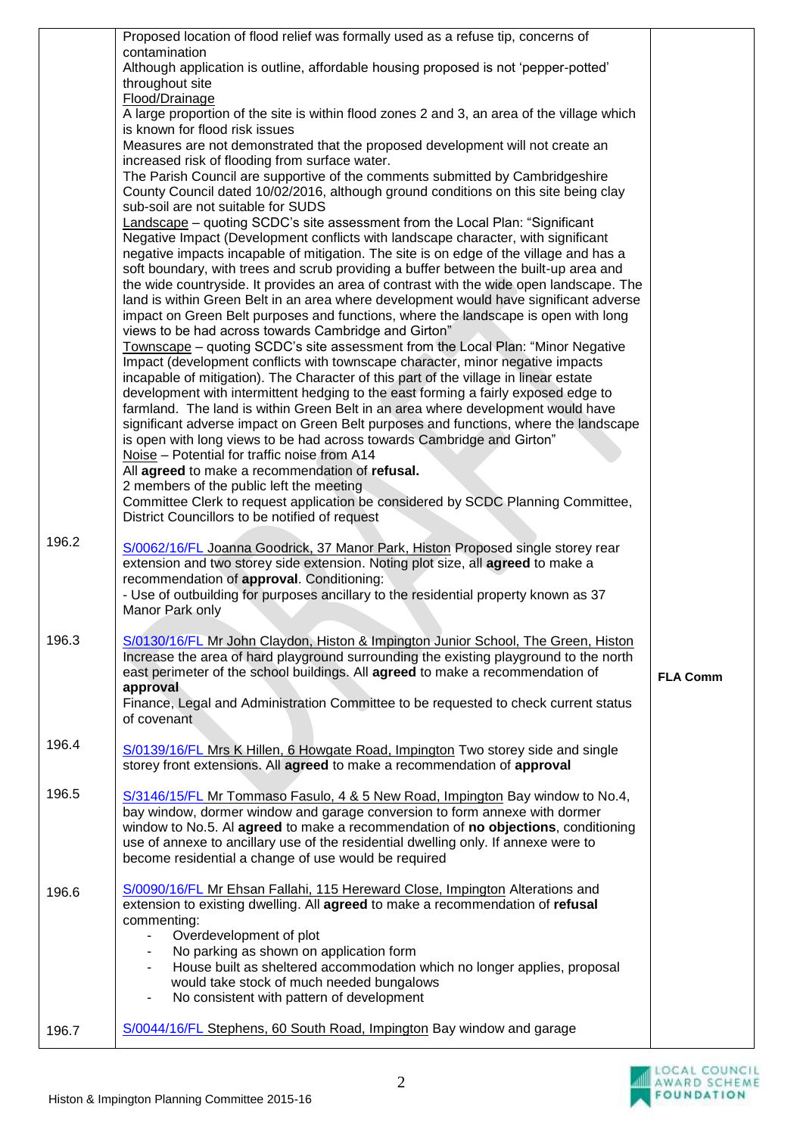|       | Proposed location of flood relief was formally used as a refuse tip, concerns of                                                                                       |                 |
|-------|------------------------------------------------------------------------------------------------------------------------------------------------------------------------|-----------------|
|       | contamination                                                                                                                                                          |                 |
|       | Although application is outline, affordable housing proposed is not 'pepper-potted'                                                                                    |                 |
|       | throughout site<br>Flood/Drainage                                                                                                                                      |                 |
|       | A large proportion of the site is within flood zones 2 and 3, an area of the village which                                                                             |                 |
|       | is known for flood risk issues                                                                                                                                         |                 |
|       | Measures are not demonstrated that the proposed development will not create an                                                                                         |                 |
|       | increased risk of flooding from surface water.                                                                                                                         |                 |
|       | The Parish Council are supportive of the comments submitted by Cambridgeshire                                                                                          |                 |
|       | County Council dated 10/02/2016, although ground conditions on this site being clay                                                                                    |                 |
|       | sub-soil are not suitable for SUDS                                                                                                                                     |                 |
|       | Landscape – quoting SCDC's site assessment from the Local Plan: "Significant<br>Negative Impact (Development conflicts with landscape character, with significant      |                 |
|       | negative impacts incapable of mitigation. The site is on edge of the village and has a                                                                                 |                 |
|       | soft boundary, with trees and scrub providing a buffer between the built-up area and                                                                                   |                 |
|       | the wide countryside. It provides an area of contrast with the wide open landscape. The                                                                                |                 |
|       | land is within Green Belt in an area where development would have significant adverse                                                                                  |                 |
|       | impact on Green Belt purposes and functions, where the landscape is open with long                                                                                     |                 |
|       | views to be had across towards Cambridge and Girton"                                                                                                                   |                 |
|       | Townscape – quoting SCDC's site assessment from the Local Plan: "Minor Negative                                                                                        |                 |
|       | Impact (development conflicts with townscape character, minor negative impacts<br>incapable of mitigation). The Character of this part of the village in linear estate |                 |
|       | development with intermittent hedging to the east forming a fairly exposed edge to                                                                                     |                 |
|       | farmland. The land is within Green Belt in an area where development would have                                                                                        |                 |
|       | significant adverse impact on Green Belt purposes and functions, where the landscape                                                                                   |                 |
|       | is open with long views to be had across towards Cambridge and Girton"                                                                                                 |                 |
|       | Noise - Potential for traffic noise from A14                                                                                                                           |                 |
|       | All agreed to make a recommendation of refusal.                                                                                                                        |                 |
|       | 2 members of the public left the meeting<br>Committee Clerk to request application be considered by SCDC Planning Committee,                                           |                 |
|       | District Councillors to be notified of request                                                                                                                         |                 |
|       |                                                                                                                                                                        |                 |
| 196.2 | S/0062/16/FL Joanna Goodrick, 37 Manor Park, Histon Proposed single storey rear                                                                                        |                 |
|       | extension and two storey side extension. Noting plot size, all agreed to make a                                                                                        |                 |
|       | recommendation of approval. Conditioning:                                                                                                                              |                 |
|       | - Use of outbuilding for purposes ancillary to the residential property known as 37                                                                                    |                 |
|       | Manor Park only                                                                                                                                                        |                 |
| 196.3 | S/0130/16/FL Mr John Claydon, Histon & Impington Junior School, The Green, Histon                                                                                      |                 |
|       | Increase the area of hard playground surrounding the existing playground to the north                                                                                  |                 |
|       | east perimeter of the school buildings. All agreed to make a recommendation of                                                                                         | <b>FLA Comm</b> |
|       | approval                                                                                                                                                               |                 |
|       | Finance, Legal and Administration Committee to be requested to check current status                                                                                    |                 |
|       | of covenant                                                                                                                                                            |                 |
| 196.4 | S/0139/16/FL Mrs K Hillen, 6 Howgate Road, Impington Two storey side and single                                                                                        |                 |
|       | storey front extensions. All agreed to make a recommendation of approval                                                                                               |                 |
|       |                                                                                                                                                                        |                 |
| 196.5 | S/3146/15/FL Mr Tommaso Fasulo, 4 & 5 New Road, Impington Bay window to No.4,                                                                                          |                 |
|       | bay window, dormer window and garage conversion to form annexe with dormer                                                                                             |                 |
|       | window to No.5. Al agreed to make a recommendation of no objections, conditioning                                                                                      |                 |
|       | use of annexe to ancillary use of the residential dwelling only. If annexe were to<br>become residential a change of use would be required                             |                 |
|       |                                                                                                                                                                        |                 |
| 196.6 | S/0090/16/FL Mr Ehsan Fallahi, 115 Hereward Close, Impington Alterations and                                                                                           |                 |
|       | extension to existing dwelling. All agreed to make a recommendation of refusal                                                                                         |                 |
|       | commenting:                                                                                                                                                            |                 |
|       | Overdevelopment of plot<br>$\blacksquare$                                                                                                                              |                 |
|       | No parking as shown on application form<br>$\blacksquare$                                                                                                              |                 |
|       | House built as sheltered accommodation which no longer applies, proposal<br>would take stock of much needed bungalows                                                  |                 |
|       | No consistent with pattern of development<br>$\blacksquare$                                                                                                            |                 |
|       |                                                                                                                                                                        |                 |
| 196.7 | S/0044/16/FL Stephens, 60 South Road, Impington Bay window and garage                                                                                                  |                 |